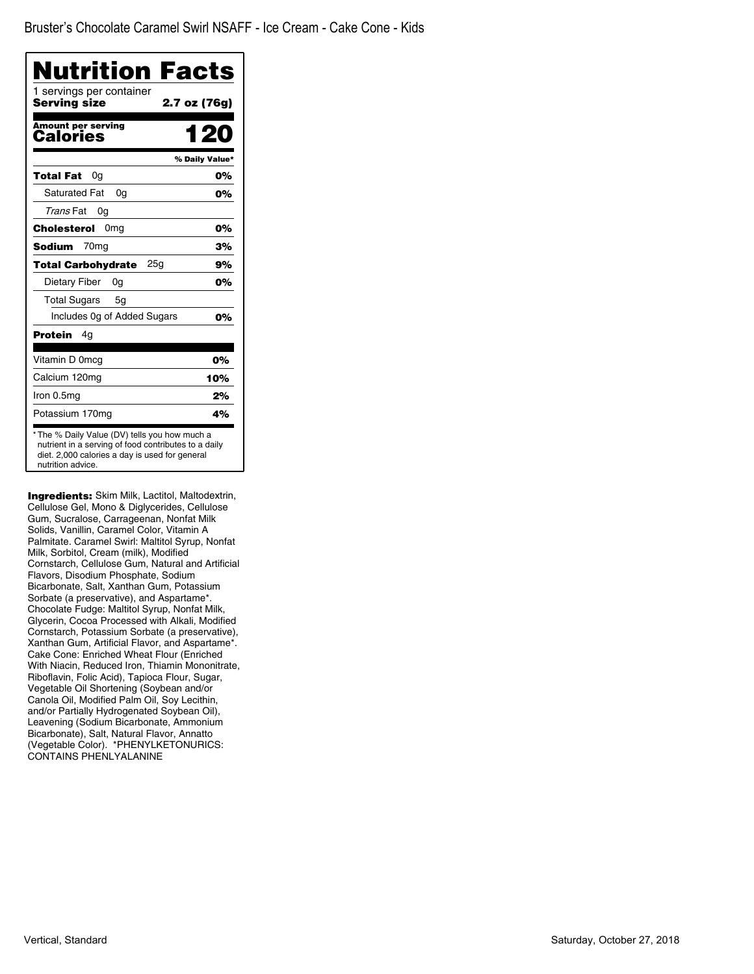| Nutrition Facts<br>1 servings per container |                |
|---------------------------------------------|----------------|
| Servina size                                | 2.7 oz (76g)   |
| <b>Amount per serving</b><br>Calories       | 1 20           |
|                                             | % Daily Value* |
| Total Fat<br>0a                             | 0%             |
| <b>Saturated Fat</b><br>0a                  | 0%             |
| Trans Fat<br>0g                             |                |
| Cholesterol<br>0 <sub>mg</sub>              | 0%             |
| Sodium<br>70 <sub>mq</sub>                  | 3%             |
| 25g<br>Total Carbohydrate                   | 9%             |
| Dietary Fiber<br>0g                         | 0%             |
| <b>Total Sugars</b><br>5g                   |                |
| Includes 0g of Added Sugars                 | 0%             |
| Protein<br>4g                               |                |
| Vitamin D 0mcg                              | 0%             |
| Calcium 120mg                               | 10%            |
| Iron 0.5mg                                  | 2%             |
| Potassium 170mg                             | 4%             |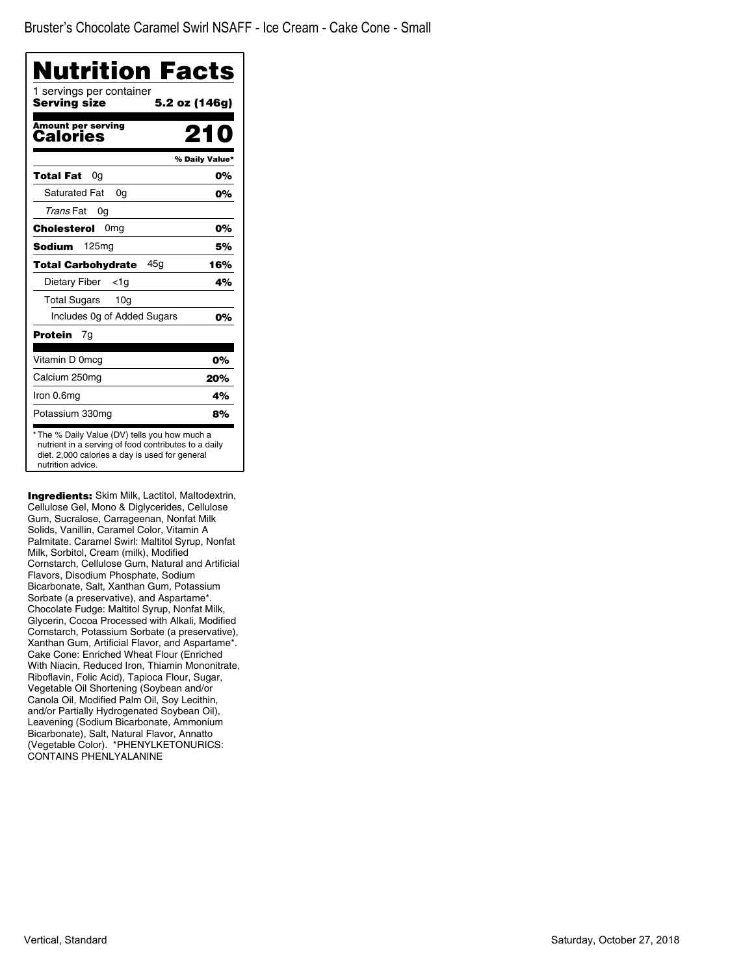| Nutrition Facts<br>1 servings per container |                |
|---------------------------------------------|----------------|
| Serving size                                | 5.2 oz (146g)  |
| <b>Amount per serving</b><br>Calories       | 21 N           |
|                                             | % Daily Value* |
| Total Fat<br>0a                             | 0%             |
| <b>Saturated Fat</b><br>0g                  | 0%             |
| Trans Fat<br>0g                             |                |
| Cholesterol<br>0mg                          | 0%             |
| 125 <sub>mg</sub><br>Sodium                 | 5%             |
| 45a<br>Total Carbohydrate                   | 16%            |
| Dietary Fiber<br><1a                        | 4%             |
| <b>Total Sugars</b><br>10 <sub>q</sub>      |                |
| Includes 0g of Added Sugars                 | 0%             |
| Protein<br>7g                               |                |
| Vitamin D 0mcq                              | 0%             |
| Calcium 250mg                               | 20%            |
| Iron 0.6mg                                  | 4%             |
| Potassium 330mg                             | 8%             |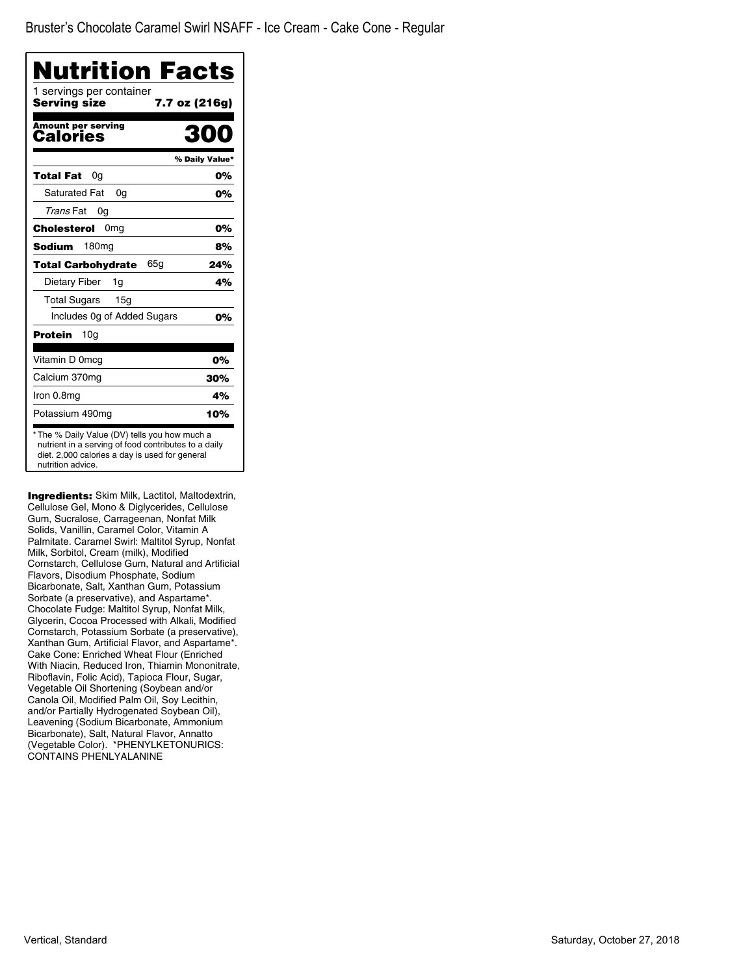| Nutrition Facts                          |                |
|------------------------------------------|----------------|
| 1 servings per container<br>Servina size | 7.7 oz (216g)  |
| <b>Amount per serving</b><br>Calories    | n              |
|                                          | % Daily Value* |
| Total Fat<br>0a                          | 0%             |
| <b>Saturated Fat</b><br>0q               | 0%             |
| Trans Fat<br>0g                          |                |
| Cholesterol<br>0 <sub>mg</sub>           | 0%             |
| Sodium<br>180mg                          | 8%             |
| 65g<br>Total Carbohydrate                | 24%            |
| Dietary Fiber<br>1g                      | 4%             |
| <b>Total Sugars</b><br>15a               |                |
| Includes Og of Added Sugars              | 0%             |
| Protein<br>10g                           |                |
| Vitamin D 0mcg                           | 0%             |
| Calcium 370mg                            | 30%            |
| Iron 0.8mg                               | 4%             |
| Potassium 490mg                          | 10%            |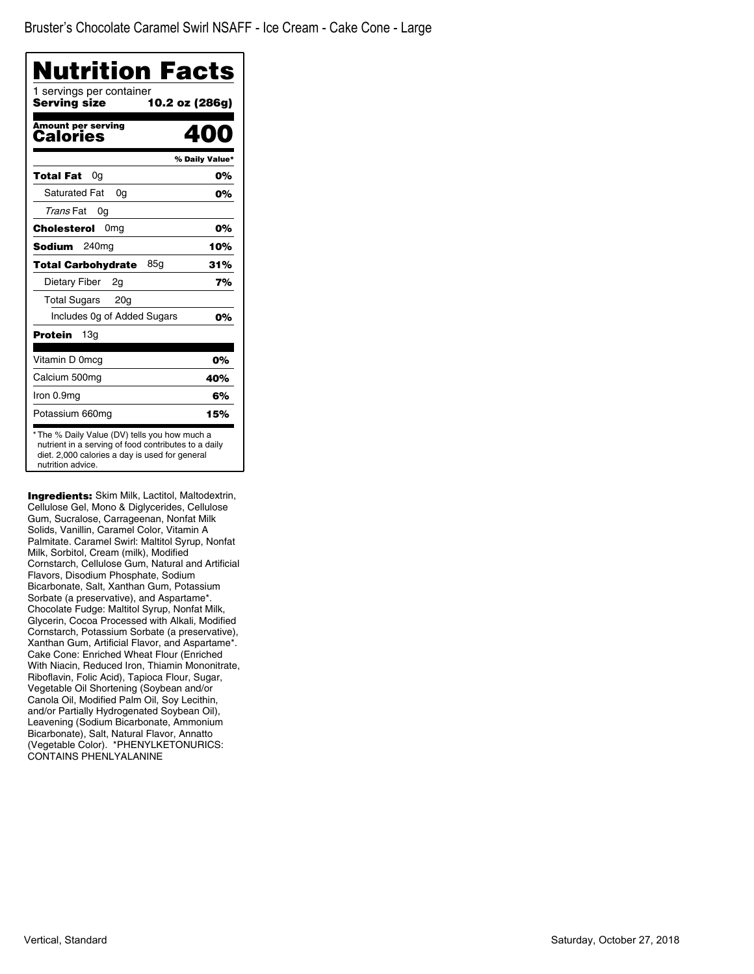| 1 servings per container<br>Serving size | 10.2 oz (286g) |
|------------------------------------------|----------------|
| <b>Amount per serving</b><br>Calories    |                |
|                                          | % Daily Value* |
| Total Fat<br>0g                          | 0%             |
| <b>Saturated Fat</b><br>0q               | 0%             |
| Trans Fat<br>0g                          |                |
| Cholesterol<br>0 <sub>mg</sub>           | 0%             |
| Sodium<br>240ma                          | 10%            |
| 85g<br><b>Total Carbohydrate</b>         | 31%            |
| Dietary Fiber<br>2g                      | 7%             |
| <b>Total Sugars</b><br>20 <sub>g</sub>   |                |
| Includes Og of Added Sugars              | 0%             |
| Protein<br>13a                           |                |
| Vitamin D 0mcg                           | 0%             |
| Calcium 500mg                            | 40%            |
| Iron 0.9mg                               | 6%             |
| Potassium 660mg                          | 15%            |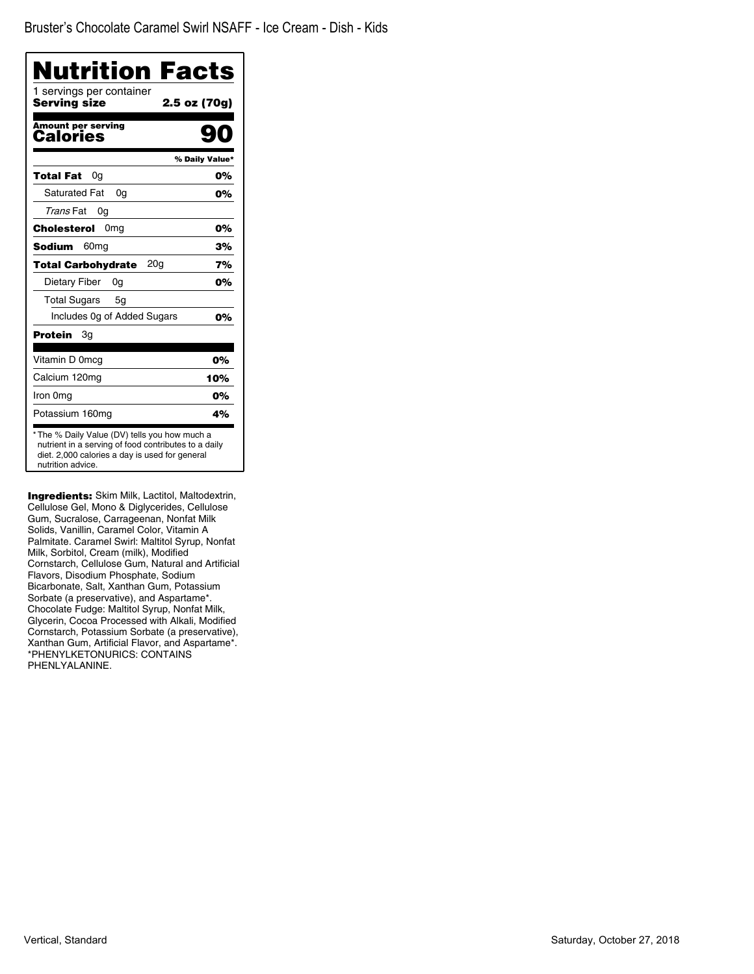| Nutrition Facts                              |                |
|----------------------------------------------|----------------|
| 1 servings per container<br>Serving size     | 2.5 oz (70g)   |
| <b>Amount per serving</b><br>Calories        |                |
|                                              | % Daily Value* |
| Total Fat<br>0g                              | 0%             |
| Saturated Fat<br>0a                          | 0%             |
| Trans Fat<br>0g                              |                |
| 0 <sub>mq</sub><br>Cholesterol               | 0%             |
| <b>Sodium</b><br>60 <sub>mg</sub>            | 3%             |
| 20 <sub>g</sub><br><b>Total Carbohydrate</b> | 7%             |
| Dietary Fiber<br>0g                          | 0%             |
| <b>Total Sugars</b><br>5g                    |                |
| Includes Og of Added Sugars                  | 0%             |
| Protein<br>Зg                                |                |
| Vitamin D 0mcg                               | 0%             |
| Calcium 120mg                                | 10%            |
| Iron 0mg                                     | 0%             |
| Potassium 160mg                              | 4%             |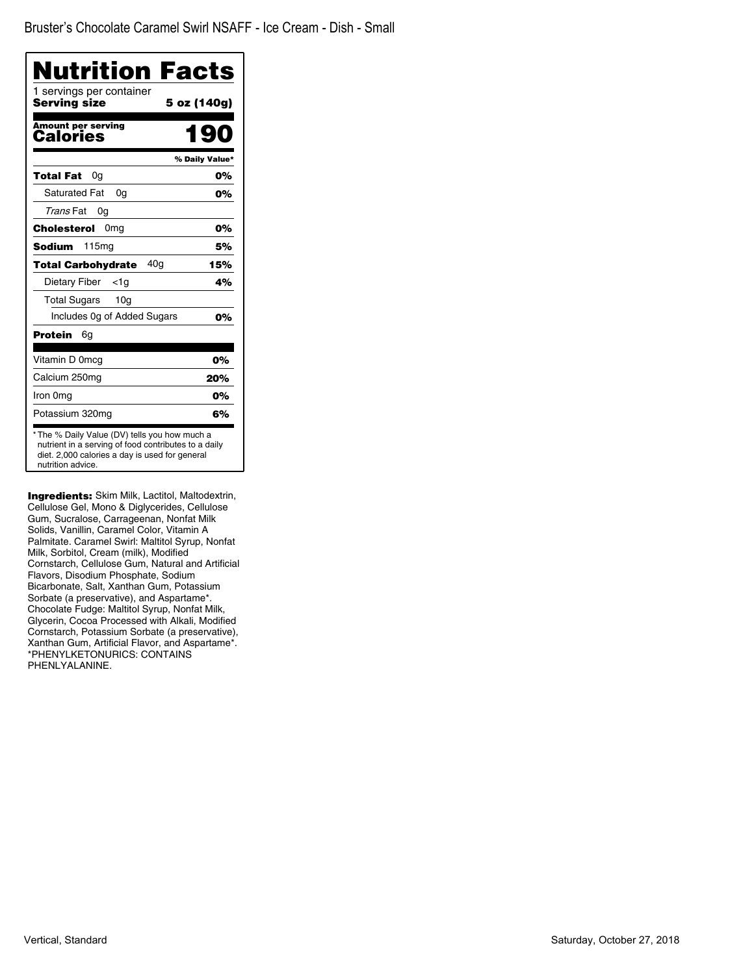| Nutrition Facts                                                                                                                                                              |                |
|------------------------------------------------------------------------------------------------------------------------------------------------------------------------------|----------------|
| 1 servings per container<br><b>Serving size</b>                                                                                                                              | 5 oz (140g)    |
| <b>Amount per serving</b><br>Calories                                                                                                                                        | 190            |
|                                                                                                                                                                              | % Daily Value* |
| <b>Total Fat</b><br>0a                                                                                                                                                       | 0%             |
| Saturated Fat<br>0a                                                                                                                                                          | 0%             |
| Trans Fat<br>0g                                                                                                                                                              |                |
| Cholesterol<br>0 <sub>mg</sub>                                                                                                                                               | 0%             |
| <b>Sodium</b><br>115 <sub>mq</sub>                                                                                                                                           | 5%             |
| 40 <sub>q</sub><br><b>Total Carbohydrate</b>                                                                                                                                 | 15%            |
| Dietary Fiber<br><1a                                                                                                                                                         | 4%             |
| Total Sugars<br>10 <sub>g</sub>                                                                                                                                              |                |
| Includes Og of Added Sugars                                                                                                                                                  | 0%             |
| Protein<br>6g                                                                                                                                                                |                |
| Vitamin D 0mcg                                                                                                                                                               | 0%             |
| Calcium 250mg                                                                                                                                                                | 20%            |
| Iron 0mg                                                                                                                                                                     | 0%             |
| Potassium 320mg                                                                                                                                                              | 6%             |
| * The % Daily Value (DV) tells you how much a<br>nutrient in a serving of food contributes to a daily<br>diet. 2,000 calories a day is used for general<br>nutrition advice. |                |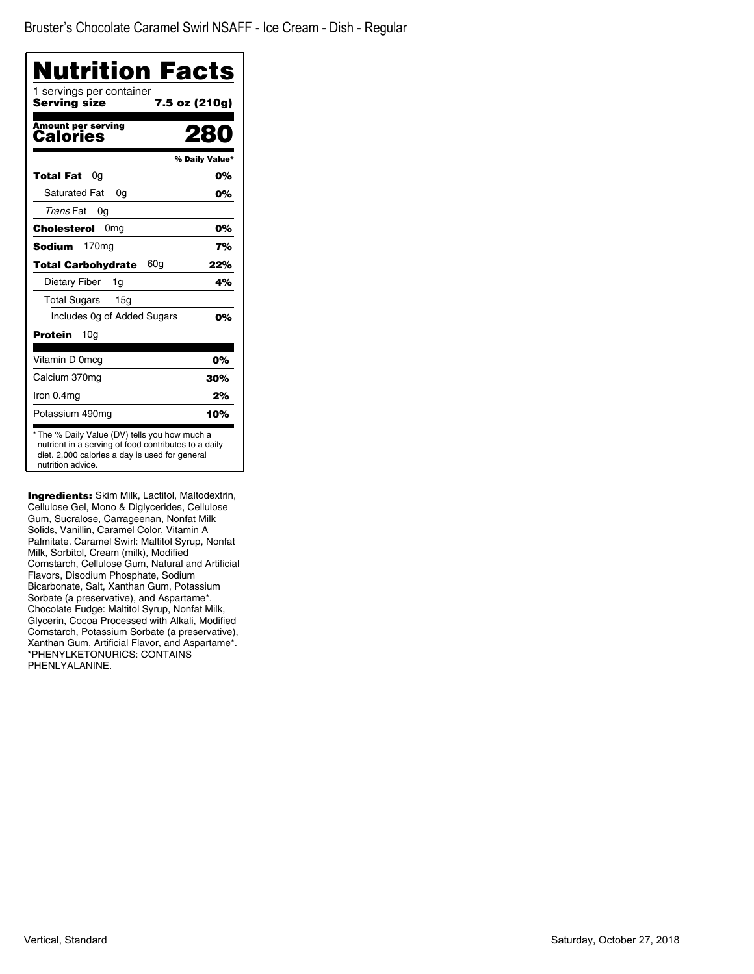| 1 servings per container<br><b>Serving size</b><br>7.5 oz (210g)<br><b>Amount per serving</b><br>Calories |                |
|-----------------------------------------------------------------------------------------------------------|----------------|
|                                                                                                           |                |
|                                                                                                           |                |
|                                                                                                           | % Daily Value* |
| Total Fat<br>0a                                                                                           | 0%             |
| <b>Saturated Fat</b><br>0a                                                                                | 0%             |
| Trans Fat<br>0g                                                                                           |                |
| Cholesterol<br>0 <sub>mg</sub>                                                                            | 0%             |
| Sodium<br>170 <sub>ma</sub>                                                                               | 7%             |
| 60g<br><b>Total Carbohydrate</b>                                                                          | 22%            |
| Dietary Fiber<br>1g                                                                                       | 4%             |
| Total Sugars<br>15a                                                                                       |                |
| Includes Og of Added Sugars                                                                               | 0%             |
| <b>Protein</b><br>10g                                                                                     |                |
| Vitamin D 0mcg                                                                                            | 0%             |
| Calcium 370mg                                                                                             | 30%            |
| Iron 0.4mg                                                                                                | 2%             |
| Potassium 490mg                                                                                           | 10%            |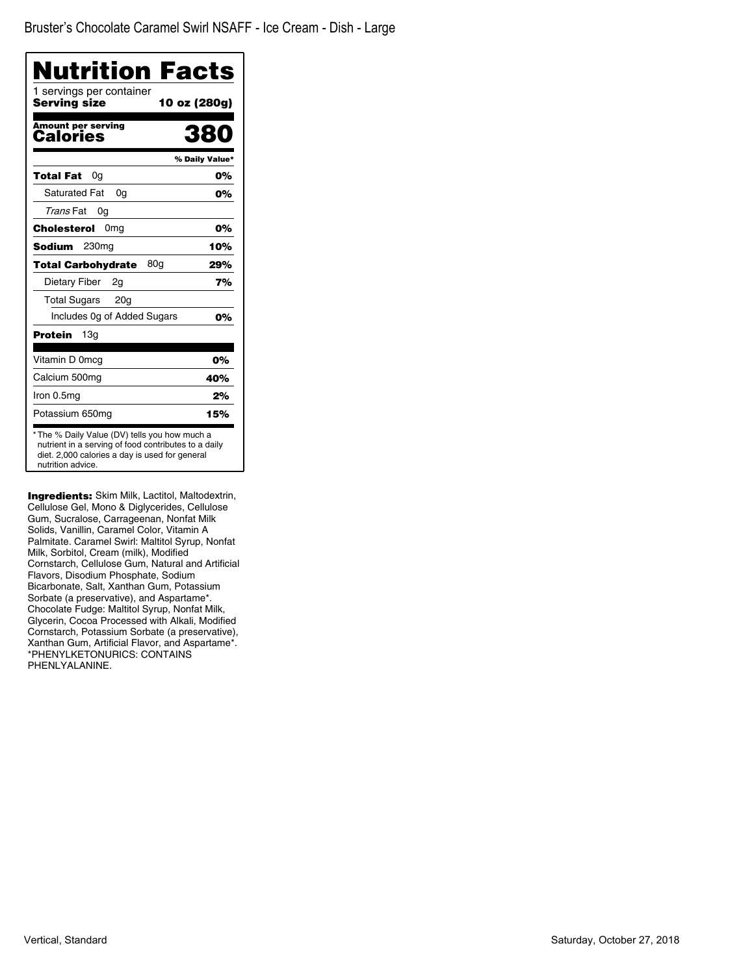| Nutrition Facts                                                                                                                                                              |                |
|------------------------------------------------------------------------------------------------------------------------------------------------------------------------------|----------------|
| 1 servings per container<br>Serving size                                                                                                                                     | 10 oz (280g)   |
| <b>Amount per serving</b><br>Calories                                                                                                                                        | 28             |
|                                                                                                                                                                              | % Daily Value* |
| Total Fat<br>0g                                                                                                                                                              | 0%             |
| <b>Saturated Fat</b><br>0a                                                                                                                                                   | 0%             |
| Trans Fat<br>0a                                                                                                                                                              |                |
| Cholesterol<br>0mg                                                                                                                                                           | 0%             |
| <b>Sodium</b><br>230 <sub>mg</sub>                                                                                                                                           | 10%            |
| 80a<br><b>Total Carbohydrate</b>                                                                                                                                             | 29%            |
| Dietary Fiber<br>2g                                                                                                                                                          | 7%             |
| <b>Total Sugars</b><br>20 <sub>g</sub>                                                                                                                                       |                |
| Includes Og of Added Sugars                                                                                                                                                  | 0%             |
| Protein<br>13a                                                                                                                                                               |                |
| Vitamin D 0mcg                                                                                                                                                               | 0%             |
| Calcium 500mg                                                                                                                                                                | 40%            |
| Iron 0.5mg                                                                                                                                                                   | 2%             |
| Potassium 650mg                                                                                                                                                              | 15%            |
| * The % Daily Value (DV) tells you how much a<br>nutrient in a serving of food contributes to a daily<br>diet. 2,000 calories a day is used for general<br>nutrition advice. |                |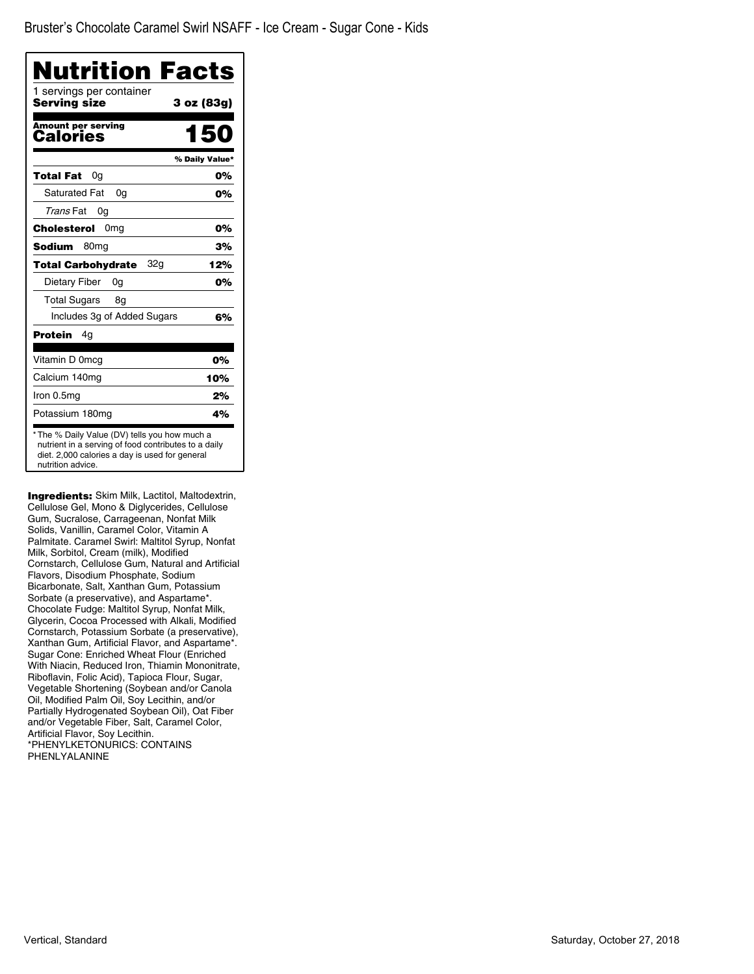| 3 oz (83g)     |
|----------------|
|                |
| 150            |
| % Daily Value* |
| 0%             |
| 0%             |
|                |
| 0%             |
| 3%             |
| 12%            |
| 0%             |
|                |
| 6%             |
|                |
| 0%             |
| 10%            |
| 2%             |
| 4%             |
|                |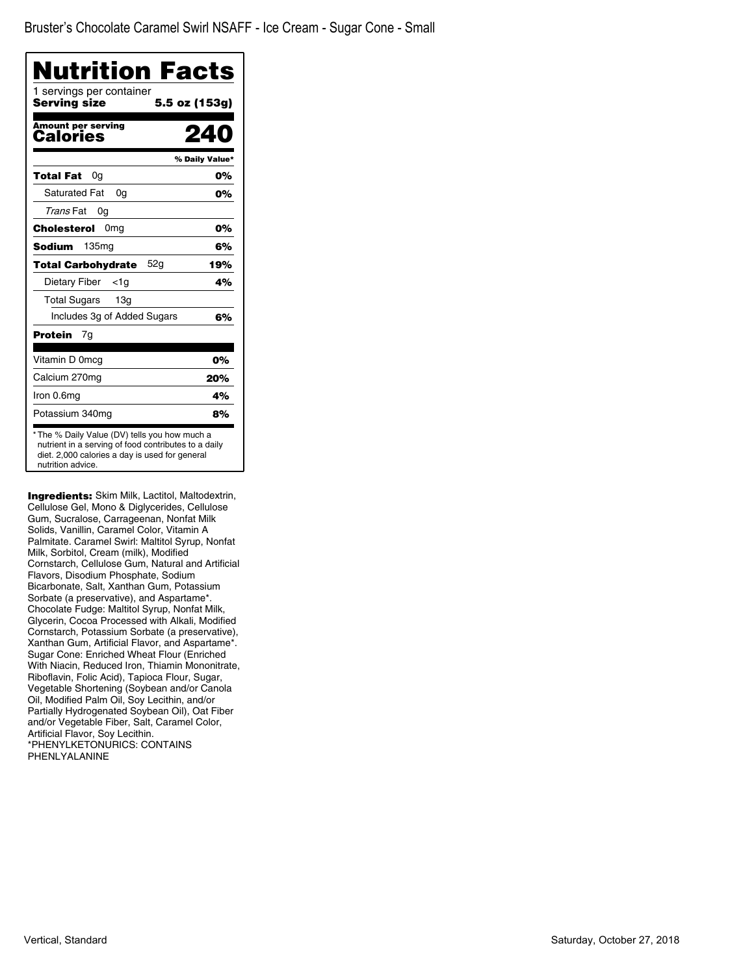| Nutrition Facts<br>1 servings per container  |                |
|----------------------------------------------|----------------|
| <b>Serving size</b>                          | 5.5 oz (153g)  |
| <b>Amount per serving</b><br>Calories        | 24             |
|                                              | % Daily Value* |
| Total Fat<br>0a                              | 0%             |
| <b>Saturated Fat</b><br>0q                   | 0%             |
| Trans Fat<br>0g                              |                |
| <b>Cholesterol</b> 0mg                       | 0%             |
| 135 <sub>mq</sub><br>Sodium                  | 6%             |
| 52 <sub>q</sub><br><b>Total Carbohydrate</b> | 19%            |
| Dietary Fiber<br>$<$ 1g                      | 4%             |
| <b>Total Sugars</b><br>13 <sub>q</sub>       |                |
| Includes 3g of Added Sugars                  | 6%             |
| Protein<br>7g                                |                |
| Vitamin D 0mcg                               | 0%             |
| Calcium 270mg                                | 20%            |
| Iron 0.6mg                                   | 4%             |
| Potassium 340mg                              | 8%             |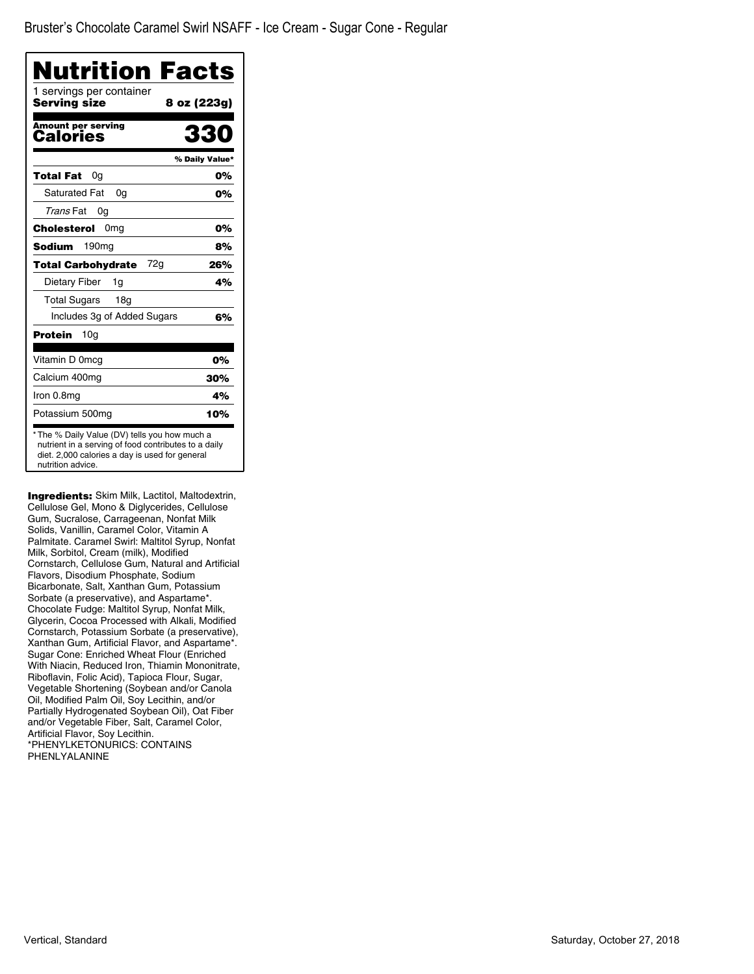| Nutrition Facts                          |                |
|------------------------------------------|----------------|
| 1 servings per container<br>Serving size | 8 oz (223g)    |
| <b>Amount per serving</b><br>Calories    | 330            |
|                                          | % Daily Value* |
| Total Fat<br>0g                          | 0%             |
| <b>Saturated Fat</b><br>0a               | 0%             |
| Trans Fat<br>0g                          |                |
| Cholesterol<br>0 <sub>mg</sub>           | 0%             |
| <b>Sodium</b><br>190 <sub>mg</sub>       | 8%             |
| 72g<br><b>Total Carbohydrate</b>         | 26%            |
| Dietary Fiber<br>1g                      | 4%             |
| <b>Total Sugars</b><br>18g               |                |
| Includes 3g of Added Sugars              | 6%             |
| Protein<br>10g                           |                |
| Vitamin D 0mcg                           | 0%             |
| Calcium 400mg                            | 30%            |
| Iron 0.8mg                               | 4%             |
| Potassium 500mg                          | 10%            |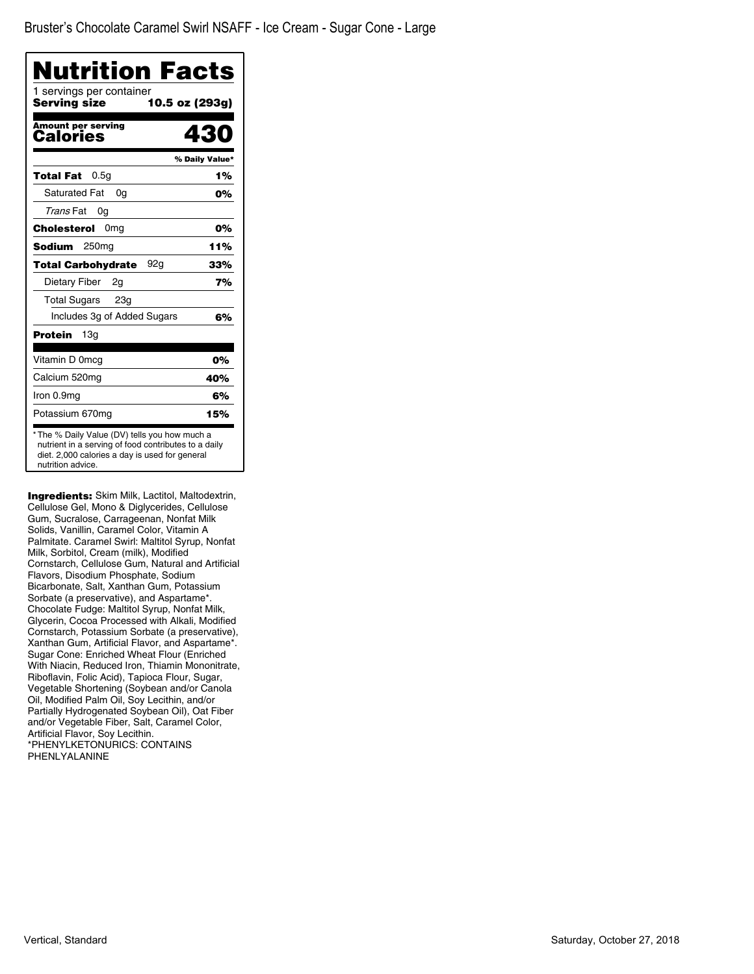| Nutrition Facts<br>1 servings per container |                |
|---------------------------------------------|----------------|
| Serving size                                | 10.5 oz (293g) |
| <b>Amount per serving</b><br>Calories       | 430            |
|                                             | % Daily Value* |
| 0.5q<br>Total Fat                           | 1%             |
| <b>Saturated Fat</b><br>0a                  | 0%             |
| Trans Fat<br>0g                             |                |
| Cholesterol<br>0 <sub>mg</sub>              | 0%             |
| Sodium<br>250 <sub>mq</sub>                 | 11%            |
| 92g<br><b>Total Carbohydrate</b>            | 33%            |
| Dietary Fiber<br>2g                         | 7%             |
| Total Sugars 23g                            |                |
| Includes 3g of Added Sugars                 | 6%             |
| Protein<br>13a                              |                |
| Vitamin D 0mcg                              | 0%             |
| Calcium 520mg                               | 40%            |
| Iron 0.9mg                                  | 6%             |
| Potassium 670mg                             | 15%            |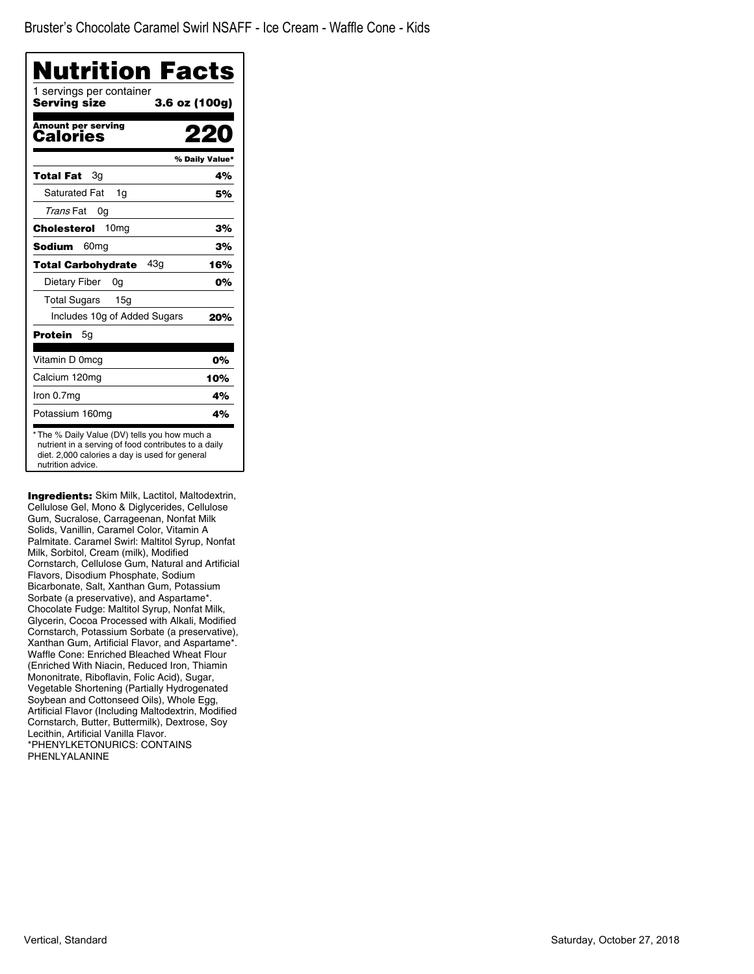| Nutrition Facts<br>1 servings per container<br>Serving size | 3.6 oz (100g)  |
|-------------------------------------------------------------|----------------|
| <b>Amount per serving</b>                                   |                |
| <b>Calories</b>                                             |                |
|                                                             | % Daily Value* |
| <b>Total Fat</b><br>3g                                      | 4%             |
| <b>Saturated Fat</b><br>1g                                  | 5%             |
| Trans Fat<br>0g                                             |                |
| 10 <sub>mg</sub><br>Cholesterol                             | 3%             |
| <b>Sodium</b><br>60mg                                       | 3%             |
| 43q<br><b>Total Carbohydrate</b>                            | 16%            |
| Dietary Fiber<br>0g                                         | 0%             |
| Total Sugars<br>15 <sub>q</sub>                             |                |
| Includes 10g of Added Sugars                                | 20%            |
| Protein<br>5g                                               |                |
| Vitamin D 0mcg                                              | 0%             |
| Calcium 120mg                                               | 10%            |
| Iron 0.7mg                                                  | 4%             |
| Potassium 160mg                                             | 4%             |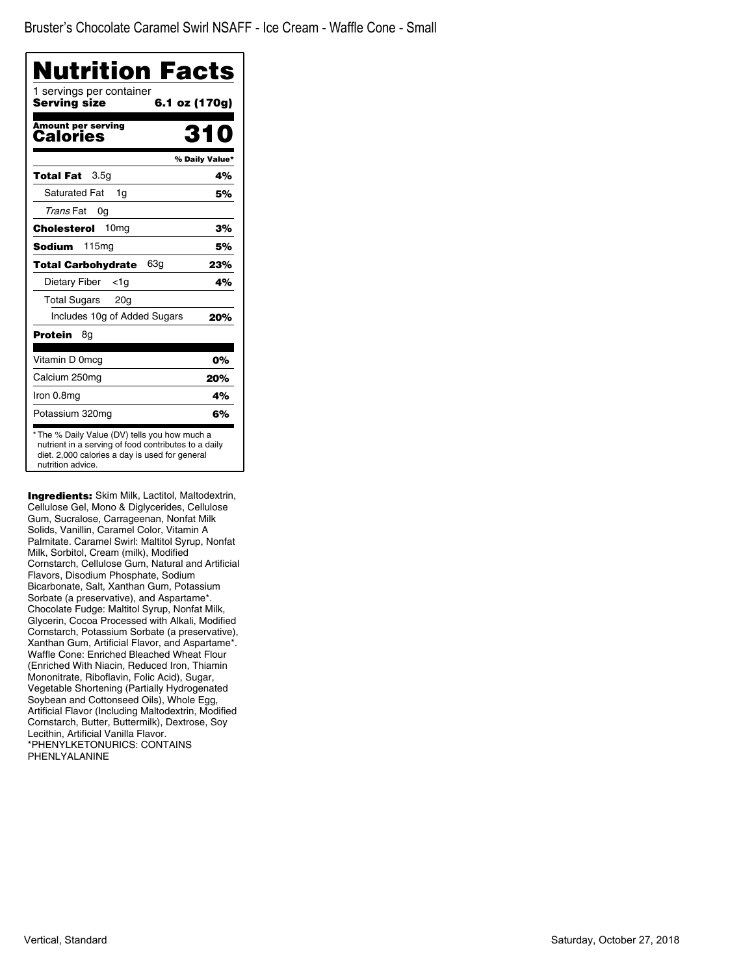| Nutrition Facts                          |                |
|------------------------------------------|----------------|
| 1 servings per container<br>Servina size | 6.1 oz (170g)  |
| <b>Amount per serving</b><br>Calories    | 31             |
|                                          | % Daily Value* |
| 3.5 <sub>q</sub><br>Total Fat            | 4%             |
| <b>Saturated Fat</b><br>1g               | 5%             |
| Trans Fat<br>0g                          |                |
| 10 <sub>mg</sub><br>Cholesterol          | 3%             |
| Sodium<br>115mg                          | 5%             |
| 63g<br>Total Carbohydrate                | 23%            |
| Dietary Fiber<br><1a                     | 4%             |
| <b>Total Sugars</b><br>20 <sub>q</sub>   |                |
| Includes 10g of Added Sugars             | 20%            |
| Protein<br>8g                            |                |
| Vitamin D 0mcg                           | 0%             |
| Calcium 250mg                            | 20%            |
| Iron 0.8mg                               | 4%             |
| Potassium 320mg                          | 6%             |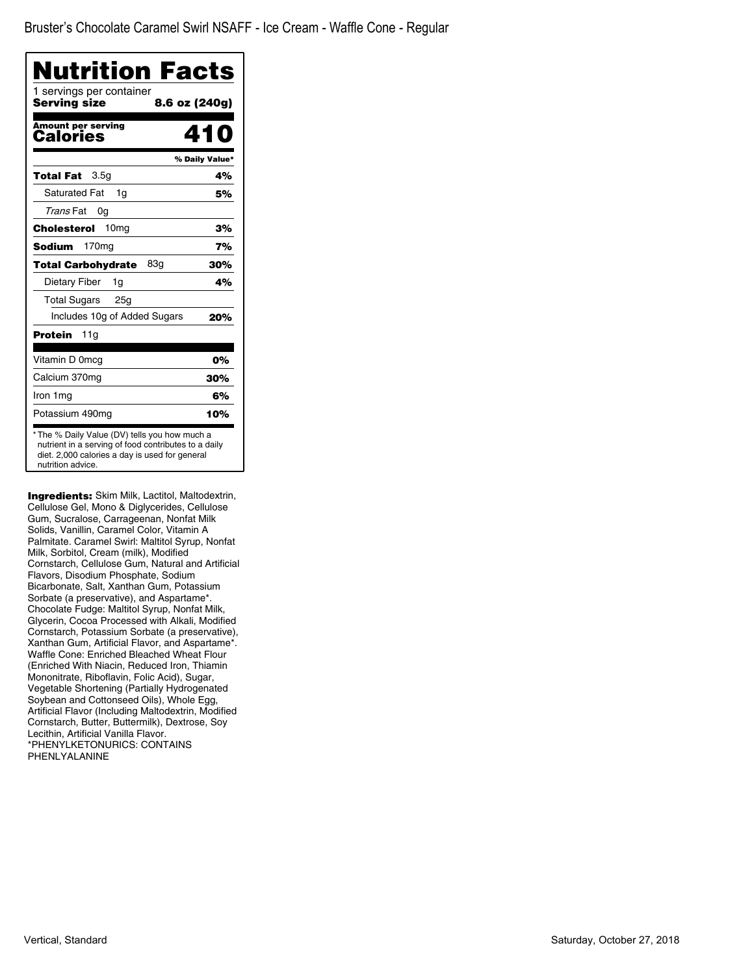Bruster's Chocolate Caramel Swirl NSAFF - Ice Cream - Waffle Cone - Regular

| Nutrition Facts<br>1 servings per container<br><b>Serving size</b> | 8.6 oz (240g)  |
|--------------------------------------------------------------------|----------------|
|                                                                    |                |
| <b>Amount per serving</b><br>Calories                              | 41 N           |
|                                                                    | % Daily Value* |
| 3.5 <sub>q</sub><br>Total Fat                                      | 4%             |
| <b>Saturated Fat</b><br>1g                                         | 5%             |
| Trans Fat<br>0g                                                    |                |
| 10 <sub>mg</sub><br>Cholesterol                                    | 3%             |
| 170 <sub>mg</sub><br><b>Sodium</b>                                 | 7%             |
| 83a<br>Total Carbohydrate                                          | 30%            |
| Dietary Fiber<br>1g                                                | 4%             |
| <b>Total Sugars</b><br>25 <sub>q</sub>                             |                |
| Includes 10g of Added Sugars                                       | 20%            |
| Protein<br>11g                                                     |                |
| Vitamin D 0mcg                                                     | 0%             |
| Calcium 370mg                                                      | 30%            |
| Iron 1mg                                                           | 6%             |
| Potassium 490mg                                                    | 10%            |